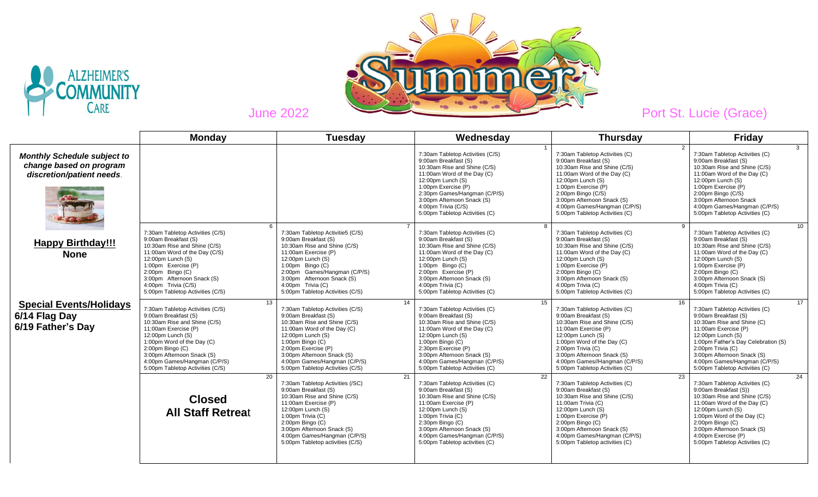



|                                                                                            | <b>Monday</b>                                                                                                                                                                                                                                                                                        | <b>Tuesday</b>                                                                                                                                                                                                                                                                                       | Wednesday                                                                                                                                                                                                                                                                                   | <b>Thursday</b>                                                                                                                                                                                                                                                                                               | <b>Friday</b>                                                                                                                                                                                                                                                                                            |
|--------------------------------------------------------------------------------------------|------------------------------------------------------------------------------------------------------------------------------------------------------------------------------------------------------------------------------------------------------------------------------------------------------|------------------------------------------------------------------------------------------------------------------------------------------------------------------------------------------------------------------------------------------------------------------------------------------------------|---------------------------------------------------------------------------------------------------------------------------------------------------------------------------------------------------------------------------------------------------------------------------------------------|---------------------------------------------------------------------------------------------------------------------------------------------------------------------------------------------------------------------------------------------------------------------------------------------------------------|----------------------------------------------------------------------------------------------------------------------------------------------------------------------------------------------------------------------------------------------------------------------------------------------------------|
| <b>Monthly Schedule subject to</b><br>change based on program<br>discretion/patient needs. |                                                                                                                                                                                                                                                                                                      |                                                                                                                                                                                                                                                                                                      | 7:30am Tabletop Activities (C/S)<br>9:00am Breakfast (S)<br>10:30am Rise and Shine (C/S)<br>11:00am Word of the Day (C)<br>12:00pm Lunch (S)<br>1:00pm Exercise (P)<br>2:30pm Games/Hangman (C/P/S)<br>3:00pm Afternoon Snack (S)<br>4:00pm Trivia (C/S)<br>5:00pm Tabletop Activities (C)  | $\mathcal{P}$<br>7:30am Tabletop Activities (C)<br>9:00am Breakfast (S)<br>10:30am Rise and Shine (C/S)<br>11:00am Word of the Day (C)<br>12:00pm Lunch (S)<br>1:00pm Exercise (P)<br>$2:00$ pm Bingo $(C/S)$<br>3:00pm Afternoon Snack (S)<br>4:00pm Games/Hangman (C/P/S)<br>5:00pm Tabletop Activities (C) | 3<br>7:30am Tabletop Activities (C)<br>9:00am Breakfast (S)<br>10:30am Rise and Shine (C/S)<br>11:00am Word of the Day (C)<br>$12:00$ pm Lunch $(S)$<br>1:00pm Exercise (P)<br>2:00pm Bingo (C/S)<br>3:00pm Afternoon Snack<br>4:00pm Games/Hangman (C/P/S)<br>5:00pm Tabletop Activities (C)            |
| <b>Happy Birthday!!!</b><br><b>None</b>                                                    | 6<br>7:30am Tabletop Activities (C/S)<br>9:00am Breakfast (S)<br>10:30am Rise and Shine (C/S)<br>11:00am Word of the Day (C/S)<br>12:00pm Lunch (S)<br>1:00pm Exercise (P)<br>$2:00$ pm Bingo $(C)$<br>3:00pm Afternoon Snack (S)<br>4:00pm Trivia (C/S)<br>5:00pm Tabletop Activities (C/S)         | 7:30am Tabletop Activitie5 (C/S)<br>9:00am Breakfast (S)<br>10:30am Rise and Shine (C/S)<br>11:00am Exercise (P)<br>12:00pm Lunch (S)<br>$1:00$ pm Bingo $(C)$<br>2:00pm Games/Hangman (C/P/S)<br>3:00pm Afternoon Snack (S)<br>4:00pm Trivia (C)<br>5:00pm Tabletop Activities (C/S)                | 8<br>7:30am Tabletop Activities (C)<br>9:00am Breakfast (S)<br>10:30am Rise and Shine (C/S)<br>11:00am Word of the Day (C)<br>12:00pm Lunch (S)<br>1:00pm Bingo (C)<br>2:00pm Exercise (P)<br>3:00pm Afternoon Snack (S)<br>4:00pm Trivia (C)<br>5:00pm Tabletop Activities (C)             | 9<br>7:30am Tabletop Activities (C)<br>9:00am Breakfast (S)<br>10:30am Rise and Shine (C/S)<br>11:00am Word of the Day (C)<br>12:00pm Lunch (S)<br>1:00pm Exercise (P)<br>$2:00$ pm Bingo (C)<br>3:00pm Afternoon Snack (S)<br>4:00pm Trivia (C)<br>5:00pm Tabletop Activities (C)                            | 10 <sup>°</sup><br>7:30am Tabletop Activities (C)<br>9:00am Breakfast (S)<br>10:30am Rise and Shine (C/S)<br>11:00am Word of the Day (C)<br>$12:00$ pm Lunch $(S)$<br>1:00pm Exercise (P)<br>$2:00$ pm Bingo $(C)$<br>3:00pm Afternoon Snack (S)<br>4:00pm Trivia (C)<br>5:00pm Tabletop Activities (C)  |
| <b>Special Events/Holidays</b><br>6/14 Flag Day<br>6/19 Father's Day                       | 13<br>7:30am Tabletop Activities (C/S)<br>9:00am Breakfast (S)<br>10:30am Rise and Shine (C/S)<br>11:00am Exercise (P)<br>12:00pm Lunch (S)<br>1:00pm Word of the Day (C)<br>$2:00$ pm Bingo $(C)$<br>3:00pm Afternoon Snack (S)<br>4:00pm Games/Hangman (C/P/S)<br>5:00pm Tabletop Activities (C/S) | 14<br>7:30am Tabletop Activities (C/S)<br>9:00am Breakfast (S)<br>10:30am Rise and Shine (C/S)<br>11:00am Word of the Day (C)<br>12:00pm Lunch (S)<br>$1:00$ pm Bingo $(C)$<br>2:00pm Exercise (P)<br>3:00pm Afternoon Snack (S)<br>4:00pm Games/Hangman (C/P/S)<br>5:00pm Tabletop Activities (C/S) | 15<br>7:30am Tabletop Activities (C)<br>9:00am Breakfast (S)<br>10:30am Rise and Shine (C/S)<br>11:00am Word of the Day (C)<br>12:00pm Lunch (S)<br>1:00pm Bingo (C)<br>2:30pm Exercise (P)<br>3:00pm Afternoon Snack (S)<br>4:00pm Games/Hangman (C/P/S)<br>5:00pm Tabletop Activities (C) | 16<br>7:30am Tabletop Activities (C)<br>9:00am Breakfast (S)<br>10:30am Rise and Shine (C/S)<br>11:00am Exercise (P)<br>12:00pm Lunch (S)<br>1:00pm Word of the Day (C)<br>2:00pm Trivia (C)<br>3:00pm Afternoon Snack (S)<br>4:00pm Games//Hangman (C/P/S)<br>5:00pm Tabletop Activities (C)                 | 17<br>7:30am Tabletop Activities (C)<br>9:00am Breakfast (S)<br>10:30am Rise and Shine (C)<br>11:00am Exercise (P)<br>$12:00$ pm Lunch $(S)$<br>1:00pm Father's Day Celebration (S)<br>2:00pm Trivia (C)<br>3:00pm Afternoon Snack (S)<br>4:00pm Games/Hangman (C/P/S)<br>5:00pm Tabletop Activities (C) |
|                                                                                            | 20<br><b>Closed</b><br><b>All Staff Retreat</b>                                                                                                                                                                                                                                                      | 21<br>7:30am Tabletop Activities (/SC)<br>9:00am Breakfast (S)<br>10:30am Rise and Shine (C/S)<br>11:00am Exercise (P)<br>12:00pm Lunch (S)<br>1:00pm Trivia (C)<br>$2:00$ pm Bingo $(C)$<br>3:00pm Afternoon Snack (S)<br>4:00pm Games/Hangman (C/P/S)<br>5:00pm Tabletop activities (C/S)          | 22<br>7:30am Tabletop Activities (C)<br>9:00am Breakfast (S)<br>10:30am Rise and Shine (C/S)<br>11:00am Exercise (P)<br>12:00pm Lunch (S)<br>1:00pm Trivia (C)<br>$2:30$ pm Bingo $(C)$<br>3:00pm Afternoon Snack (S)<br>4:00pm Games/Hangman (C/P/S)<br>5:00pm Tabletop activities (C)     | 23<br>7:30am Tabletop Activities (C)<br>9:00am Breakfast (S)<br>10:30am Rise and Shine (C/S)<br>11:00am Trivia (C)<br>12:00pm Lunch (S)<br>1:00pm Exercise (P)<br>$2:00$ pm Bingo $(C)$<br>3:00pm Afternoon Snack (S)<br>4:00pm Games/Hangman (C/P/S)<br>5:00pm Tabletop activities (C)                       | 24<br>7:30am Tabletop Activities (C)<br>9:00am Breakfast (S))<br>10:30am Rise and Shine (C/S)<br>11:00am Word of the Day (C)<br>$12:00$ pm Lunch $(S)$<br>1:00pm Word of the Day (C)<br>$2:00$ pm Bingo $(C)$<br>3:00pm Afternoon Snack (S)<br>4:00pm Exercise (P)<br>5:00pm Tabletop Activities (C)     |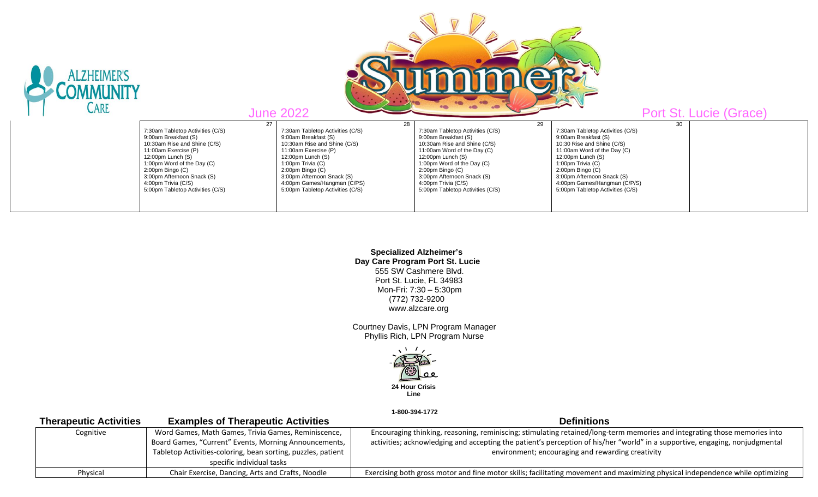| LZHEIMER'S | Port St. Lucie (Grace)           |                                  |                                  |                                  |  |
|------------|----------------------------------|----------------------------------|----------------------------------|----------------------------------|--|
| CARE       | <b>June 2022</b>                 |                                  |                                  |                                  |  |
|            | 27                               | 28                               | 29                               | 30                               |  |
|            | 7:30am Tabletop Activities (C/S) | 7:30am Tabletop Activities (C/S) | 7:30am Tabletop Activities (C/S) | 7:30am Tabletop Activities (C/S) |  |
|            | 9:00am Breakfast (S)             | 9:00am Breakfast (S)             | 9:00am Breakfast (S)             | 9:00am Breakfast (S)             |  |
|            | 10:30am Rise and Shine (C/S)     | 10:30am Rise and Shine (C/S)     | 10:30am Rise and Shine (C/S)     | 10:30 Rise and Shine (C/S)       |  |
|            | 11:00am Exercise (P)             | 11:00am Exercise (P)             | 11:00am Word of the Day (C)      | 11:00am Word of the Day (C)      |  |
|            | 12:00pm Lunch $(S)$              | $12:00$ pm Lunch $(S)$           | 12:00pm Lunch $(S)$              | 12:00pm Lunch $(S)$              |  |
|            | 1:00pm Word of the Day (C)       | 1:00pm Trivia (C)                | 1:00pm Word of the Day (C)       | 1:00pm Trivia (C)                |  |
|            | $2:00$ pm Bingo $(C)$            | $2:00$ pm Bingo $(C)$            | $2:00$ pm Bingo $(C)$            | $2:00$ pm Bingo $(C)$            |  |
|            | 3:00pm Afternoon Snack (S)       | 3:00pm Afternoon Snack (S)       | 3:00pm Afternoon Snack (S)       | 3:00pm Afternoon Snack (S)       |  |
|            | 4:00pm Trivia (C/S)              | 4:00pm Games/Hangman (C/PS)      | 4:00pm Trivia (C/S)              | 4:00pm Games/Hangman (C/P/S)     |  |
|            | 5:00pm Tabletop Activities (C/S) | 5:00pm Tabletop Activities (C/S) | 5:00pm Tabletop Activities (C/S) | 5:00pm Tabletop Activities (C/S) |  |

 **Specialized Alzheimer's Day Care Program Port St. Lucie** 555 SW Cashmere Blvd. Port St. Lucie, FL 34983 Mon-Fri: 7:30 – 5:30pm (772) 732-9200 www.alzcare.org

 Courtney Davis, LPN Program Manager Phyllis Rich, LPN Program Nurse



 **1-800-394-1772** 

| <b>Therapeutic Activities</b> | <b>Examples of Therapeutic Activities</b>                    | <b>Definitions</b>                                                                                                             |
|-------------------------------|--------------------------------------------------------------|--------------------------------------------------------------------------------------------------------------------------------|
| Cognitive                     | Word Games, Math Games, Trivia Games, Reminiscence,          | Encouraging thinking, reasoning, reminiscing; stimulating retained/long-term memories and integrating those memories into      |
|                               | Board Games, "Current" Events, Morning Announcements,        | activities; acknowledging and accepting the patient's perception of his/her "world" in a supportive, engaging, nonjudgmental   |
|                               | Tabletop Activities-coloring, bean sorting, puzzles, patient | environment; encouraging and rewarding creativity                                                                              |
|                               | specific individual tasks                                    |                                                                                                                                |
| Physical                      | Chair Exercise, Dancing, Arts and Crafts, Noodle             | Exercising both gross motor and fine motor skills; facilitating movement and maximizing physical independence while optimizing |
|                               |                                                              |                                                                                                                                |